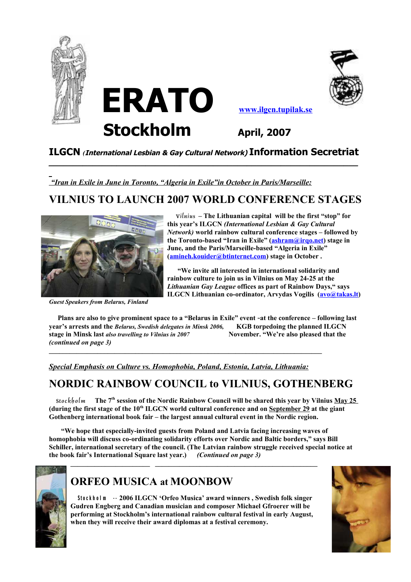





#### **ILGCN** *(***International Lesbian & Gay Cultural Network) Information Secretriat \_\_\_\_\_\_\_\_\_\_\_\_\_\_\_\_\_\_\_\_\_\_\_\_\_\_\_\_\_\_\_\_\_\_\_\_\_\_\_\_\_\_\_\_\_\_\_\_\_\_\_\_\_\_\_\_\_\_\_\_\_\_\_\_**

*"Iran in Exile in June in Toronto, "Algeria in Exile"in October in Paris/Marseille:*

## **VILNIUS TO LAUNCH 2007 WORLD CONFERENCE STAGES**



*Guest Speakers from Belarus, Finland* 

*Vilnius* **– The Lithuanian capital will be the first "stop" for this year's ILGCN** *(International Lesbian & Gay Cultural Network)* **world rainbow cultural conference stages – followed by the Toronto-based "Iran in Exile" [\(ashram@irqo.net\)](mailto:ashram@irqo.net) stage in June, and the Paris/Marseille-based "Algeria in Exile" [\(amineh.kouider@btinternet.com\)](mailto:amineh.kouider@btinternet.com) stage in October .**

 **"We invite all interested in international solidarity and rainbow culture to join us in Vilnius on May 24-25 at the** *Lithuanian Gay League* **offices as part of Rainbow Days," says ILGCN Lithuanian co-ordinator, Arvydas Vogilis [\(avo@takas.lt\)](mailto:avo@takas.lt)**

 **Plans are also to give prominent space to a "Belarus in Exile" event** -**at the conference – following last year's arrests and the** *Belarus, Swedish delegates in Minsk 2006,* **KGB torpedoing the planned ILGCN stage in Minsk last** *also travelling to Vilnius in 2007* **November. "We're also pleased that the** *(continued on page 3)*

*Special Emphasis on Culture vs. Homophobia, Poland, Estonia, Latvia, Lithuania:*

 $\mathcal{L} = \{ \mathcal{L} \mathcal{L} \mathcal{L} \mathcal{L} \mathcal{L} \mathcal{L} \mathcal{L} \mathcal{L} \mathcal{L} \mathcal{L} \mathcal{L} \mathcal{L} \mathcal{L} \mathcal{L} \mathcal{L} \mathcal{L} \mathcal{L} \mathcal{L} \mathcal{L} \mathcal{L} \mathcal{L} \mathcal{L} \mathcal{L} \mathcal{L} \mathcal{L} \mathcal{L} \mathcal{L} \mathcal{L} \mathcal{L} \mathcal{L} \mathcal{L} \mathcal{L} \mathcal{L} \mathcal{L} \mathcal{L} \$ 

## **NORDIC RAINBOW COUNCIL to VILNIUS, GOTHENBERG**

*Stockh olm* **The 7th session of the Nordic Rainbow Council will be shared this year by Vilnius May 25 (during the first stage of the 10th ILGCN world cultural conference and on September 29 at the giant Gothenberg international book fair – the largest annual cultural event in the Nordic region.**

 **"We hope that especially-invited guests from Poland and Latvia facing increasing waves of homophobia will discuss co-ordinating solidarity efforts over Nordic and Baltic borders," says Bill Schiller, international secretary of the council. (The Latvian rainbow struggle received special notice at the book fair's International Square last year.)** *(Continued on page 3)*



### **ORFEO MUSICA at MOONBOW**

 **Stockholm**  $\cdot$  **2006 ILGCN 'Orfeo Musica' award winners, Swedish folk singer Gudren Engberg and Canadian musician and composer Michael Gfroerer will be performing at Stockholm's international rainbow cultural festival in early August, when they will receive their award diplomas at a festival ceremony.** 

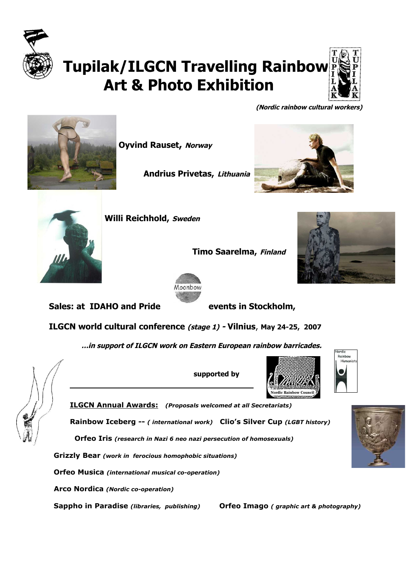

# **Tupilak/ILGCN Travelling Rainbow Art & Photo Exhibition**



 **(Nordic rainbow cultural workers)**



**Oyvind Rauset, Norway** 

**Andrius Privetas, Lithuania**





 **Timo Saarelma, Finland** 





**Sales: at IDAHO and Pride events in Stockholm,**

**ILGCN world cultural conference (stage 1) - Vilnius**, **May 24-25, 2007**

 **…in support of ILGCN work on Eastern European rainbow barricades.**



 **supported by** 







 **ILGCN Annual Awards :** *(Proposals welcomed at all Secretariats)*

\_\_\_\_\_\_\_\_\_\_\_\_\_\_\_\_\_\_\_\_\_\_\_\_\_\_\_\_\_\_\_\_\_\_\_\_\_\_

**Rainbow Iceberg --** *( international work)* **Clio's Silver Cup** *(LGBT history)*

 **Orfeo Iris** *(research in Nazi 6 neo nazi persecution of homosexuals)*

 **Grizzly Bear** *(work in ferocious homophobic situations)*

 **Orfeo Musica** *(international musical co-operation)*

**Arco Nordica** *(Nordic co-operation)*

 **Sappho in Paradise** *(libraries, publishing)* **Orfeo Imago** *( graphic art & photography)*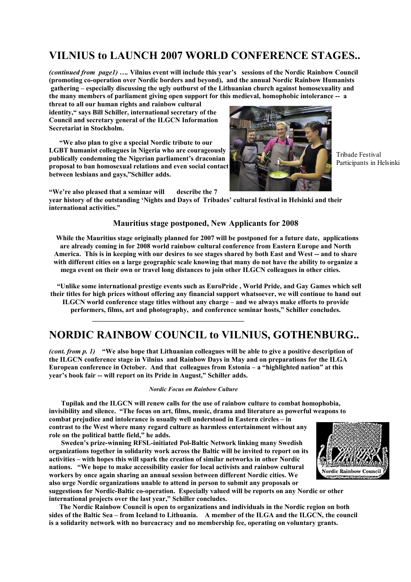### **VILNIUS to LAUNCH 2007 WORLD CONFERENCE STAGES..**

*(continued from page1) ….* **Vilnius event will include this year's sessions of the Nordic Rainbow Council (promoting co-operation over Nordic borders and beyond), and the annual Nordic Rainbow Humanists gathering – especially discussing the ugly outburst of the Lithuanian church against homosexuality and the many members of parliament giving open support for this medieval, homophobic intolerance -- a**

**threat to all our human rights and rainbow cultural identity," says Bill Schiller, international secretary of the Council and secretary general of the ILGCN Information Secretariat in Stockholm.**

 **"We also plan to give a special Nordic tribute to our LGBT humanist colleagues in Nigeria who are courageously publically condemning the Nigerian parliament's draconian proposal to ban homosexual relations and even social contact between lesbians and gays,"Schiller adds.** 



Tribade Festival Participants in Helsinki

**"We're also pleased that a seminar will describe the 7**

 $\frac{1}{2}$  ,  $\frac{1}{2}$  ,  $\frac{1}{2}$  ,  $\frac{1}{2}$  ,  $\frac{1}{2}$  ,  $\frac{1}{2}$  ,  $\frac{1}{2}$  ,  $\frac{1}{2}$  ,  $\frac{1}{2}$  ,  $\frac{1}{2}$  ,  $\frac{1}{2}$  ,  $\frac{1}{2}$  ,  $\frac{1}{2}$  ,  $\frac{1}{2}$  ,  $\frac{1}{2}$  ,  $\frac{1}{2}$  ,  $\frac{1}{2}$  ,  $\frac{1}{2}$  ,  $\frac{1$ 

**year history of the outstanding 'Nights and Days of Tribades' cultural festival in Helsinki and their international activities."**

#### **Mauritius stage postponed, New Applicants for 2008**

 **While the Mauritius stage originally planned for 2007 will be postponed for a future date, applications are already coming in for 2008 world rainbow cultural conference from Eastern Europe and North America. This is in keeping with our desires to see stages shared by both East and West -- and to share with different cities on a large geographic scale knowing that many do not have the ability to organize a mega event on their own or travel long distances to join other ILGCN colleagues in other cities.** 

 **"Unlike some international prestige events such as EuroPride , World Pride, and Gay Games which sell their titles for high prices without offering any financial support whatsoever, we will continue to hand out ILGCN world conference stage titles without any charge – and we always make efforts to provide performers, films, art and photography, and conference seminar hosts," Schiller concludes.**

## **NORDIC RAINBOW COUNCIL to VILNIUS, GOTHENBURG..**

*(cont. from p. 1)* **"We also hope that Lithuanian colleagues will be able to give a positive description of the ILGCN conference stage in Vilnius and Rainbow Days in May and on preparations for the ILGA European conference in October. And that colleagues from Estonia – a "highlighted nation" at this year's book fair -- will report on its Pride in August," Schiller adds.**

#### *Nordic Focus on Rainbow Culture*

 **Tupilak and the ILGCN will renew calls for the use of rainbow culture to combat homophobia, invisibility and silence. "The focus on art, films, music, drama and literature as powerful weapons to combat prejudice and intolerance is usually well understood in Eastern circles – in contrast to the West where many regard culture as harmless entertainment without any role on the political battle field," he adds.**

 **Sweden's prize-winning RFSL-initiated Pol-Baltic Network linking many Swedish organizations together in solidarity work across the Baltic will be invited to report on its activities – with hopes this will spark the creation of similar networks in other Nordic nations. "We hope to make accessibility easier for local activists and rainbow cultural workers by once again sharing an annual session between different Nordic cities. We also urge Nordic organizations unable to attend in person to submit any proposals or**



**suggestions for Nordic-Baltic co-operation. Especially valued will be reports on any Nordic or other international projects over the last year," Schiller concludes.** 

 **The Nordic Rainbow Council is open to organizations and individuals in the Nordic region on both sides of the Baltic Sea – from Iceland to Lithuania. A member of the ILGA and the ILGCN, the council is a solidarity network with no bureacracy and no membership fee, operating on voluntary grants.**